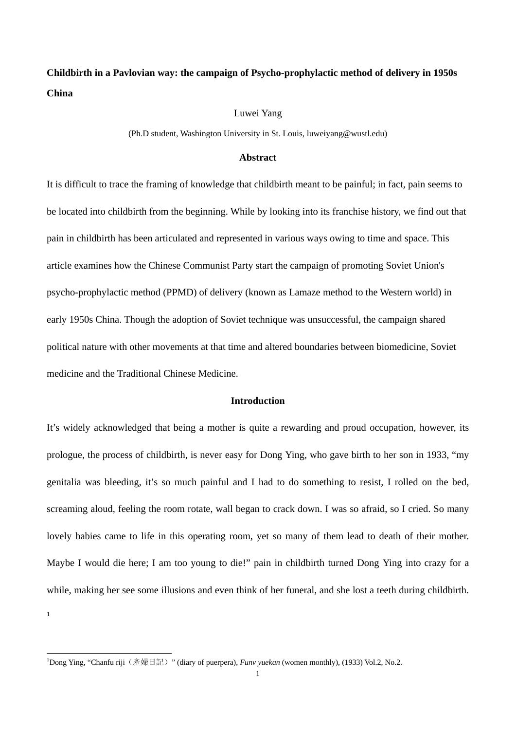# **Childbirth in a Pavlovian way: the campaign of Psycho-prophylactic method of delivery in 1950s China**

# Luwei Yang

(Ph.D student, Washington University in St. Louis, luweiyang@wustl.edu)

#### **Abstract**

It is difficult to trace the framing of knowledge that childbirth meant to be painful; in fact, pain seems to be located into childbirth from the beginning. While by looking into its franchise history, we find out that pain in childbirth has been articulated and represented in various ways owing to time and space. This article examines how the Chinese Communist Party start the campaign of promoting Soviet Union's psycho-prophylactic method (PPMD) of delivery (known as Lamaze method to the Western world) in early 1950s China. Though the adoption of Soviet technique was unsuccessful, the campaign shared political nature with other movements at that time and altered boundaries between biomedicine, Soviet medicine and the Traditional Chinese Medicine.

#### **Introduction**

It's widely acknowledged that being a mother is quite a rewarding and proud occupation, however, its prologue, the process of childbirth, is never easy for Dong Ying, who gave birth to her son in 1933, "my genitalia was bleeding, it's so much painful and I had to do something to resist, I rolled on the bed, screaming aloud, feeling the room rotate, wall began to crack down. I was so afraid, so I cried. So many lovely babies came to life in this operating room, yet so many of them lead to death of their mother. Maybe I would die here; I am too young to die!" pain in childbirth turned Dong Ying into crazy for a while, making her see some illusions and even think of her funeral, and she lost a teeth during childbirth. 1

<sup>&</sup>lt;sup>1</sup>Dong Ying, "Chanfu riji (產婦日記)" (diary of puerpera), *Funv yuekan* (women monthly), (1933) Vol.2, No.2.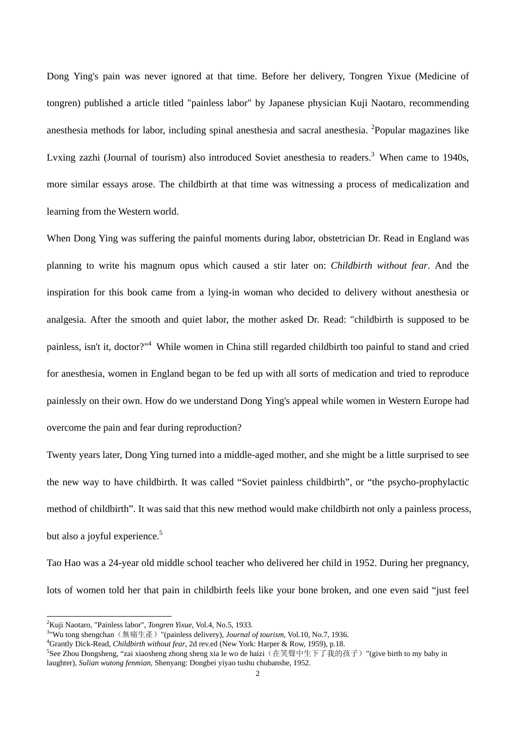Dong Ying's pain was never ignored at that time. Before her delivery, Tongren Yixue (Medicine of tongren) published a article titled "painless labor" by Japanese physician Kuji Naotaro, recommending anesthesia methods for labor, including spinal anesthesia and sacral anesthesia. 2Popular magazines like Lvxing zazhi (Journal of tourism) also introduced Soviet anesthesia to readers.<sup>3</sup> When came to 1940s, more similar essays arose. The childbirth at that time was witnessing a process of medicalization and learning from the Western world.

When Dong Ying was suffering the painful moments during labor, obstetrician Dr. Read in England was planning to write his magnum opus which caused a stir later on: *Childbirth without fear*. And the inspiration for this book came from a lying-in woman who decided to delivery without anesthesia or analgesia. After the smooth and quiet labor, the mother asked Dr. Read: "childbirth is supposed to be painless, isn't it, doctor?"<sup>4</sup> While women in China still regarded childbirth too painful to stand and cried for anesthesia, women in England began to be fed up with all sorts of medication and tried to reproduce painlessly on their own. How do we understand Dong Ying's appeal while women in Western Europe had overcome the pain and fear during reproduction?

Twenty years later, Dong Ying turned into a middle-aged mother, and she might be a little surprised to see the new way to have childbirth. It was called "Soviet painless childbirth", or "the psycho-prophylactic method of childbirth". It was said that this new method would make childbirth not only a painless process, but also a joyful experience.<sup>5</sup>

Tao Hao was a 24-year old middle school teacher who delivered her child in 1952. During her pregnancy, lots of women told her that pain in childbirth feels like your bone broken, and one even said "just feel

<sup>&</sup>lt;sup>2</sup>Kuji Naotaro, "Painless labor", *Tongren Yixue*, Vol.4, No.5, 1933.<br><sup>3</sup>"Wu tong shangshan (無病仕產), "(painless dalivant), *Journal* 

<sup>&</sup>lt;sup>3</sup> "Wu tong shengchan (無痛生產) "(painless delivery), *Journal of tourism*, Vol.10, No.7, 1936.

Grantly Dick-Read, *Childbirth without fear*, 2d rev.ed (New York: Harper & Row, 1959), p.18. 5

<sup>&</sup>lt;sup>5</sup>See Zhou Dongsheng, "zai xiaosheng zhong sheng xia le wo de haizi(在笑聲中生下了我的孩子)"(give birth to my baby in laughter), *Sulian wutong fenmian*, Shenyang: Dongbei yiyao tushu chubanshe, 1952.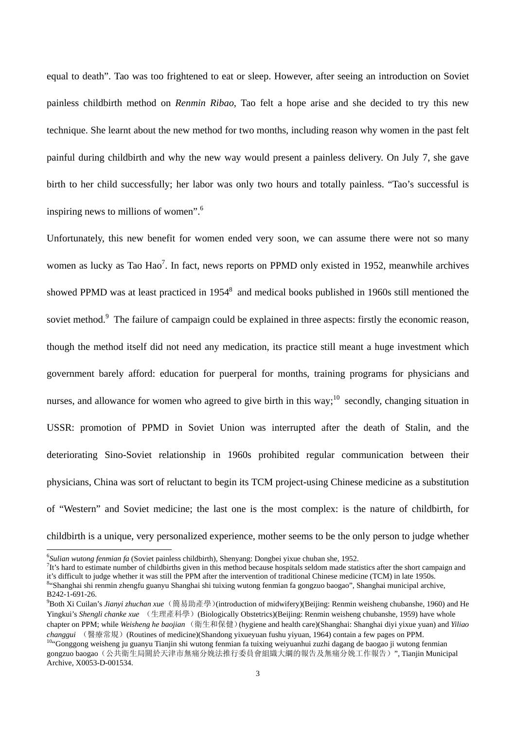equal to death". Tao was too frightened to eat or sleep. However, after seeing an introduction on Soviet painless childbirth method on *Renmin Ribao*, Tao felt a hope arise and she decided to try this new technique. She learnt about the new method for two months, including reason why women in the past felt painful during childbirth and why the new way would present a painless delivery. On July 7, she gave birth to her child successfully; her labor was only two hours and totally painless. "Tao's successful is inspiring news to millions of women".6

Unfortunately, this new benefit for women ended very soon, we can assume there were not so many women as lucky as Tao Hao<sup>7</sup>. In fact, news reports on PPMD only existed in 1952, meanwhile archives showed PPMD was at least practiced in 1954<sup>8</sup> and medical books published in 1960s still mentioned the soviet method.<sup>9</sup> The failure of campaign could be explained in three aspects: firstly the economic reason, though the method itself did not need any medication, its practice still meant a huge investment which government barely afford: education for puerperal for months, training programs for physicians and nurses, and allowance for women who agreed to give birth in this way;<sup>10</sup> secondly, changing situation in USSR: promotion of PPMD in Soviet Union was interrupted after the death of Stalin, and the deteriorating Sino-Soviet relationship in 1960s prohibited regular communication between their physicians, China was sort of reluctant to begin its TCM project-using Chinese medicine as a substitution of "Western" and Soviet medicine; the last one is the most complex: is the nature of childbirth, for childbirth is a unique, very personalized experience, mother seems to be the only person to judge whether

<sup>&</sup>lt;sup>6</sup>Sulian wutong fenmian fa (Soviet painless childbirth), Shenyang: Dongbei yixue chuban she, 1952.

 ${}^{7}$ It's hard to estimate number of childbirths given in this method because hospitals seldom made statistics after the short campaign and it's difficult to judge whether it was still the PPM after the intervention of traditional Chinese medicine (TCM) in late 1950s. 8 "Shanghai shi renmin zhengfu guanyu Shanghai shi tuixing wutong fenmian fa gongzuo baogao", Shanghai municipal archive, B242-1-691-26.

<sup>9</sup> Both Xi Cuilan's *Jianyi zhuchan xue*(簡易助產學)(introduction of midwifery)(Beijing: Renmin weisheng chubanshe, 1960) and He Yingkui's *Shengli chanke xue* (生理產科學)(Biologically Obstetrics)(Beijing: Renmin weisheng chubanshe, 1959) have whole chapter on PPM; while *Weisheng he baojian* (衛生和保健)(hygiene and health care)(Shanghai: Shanghai diyi yixue yuan) and *Yiliao*  changgui (醫療常規) (Routines of medicine)(Shandong yixueyuan fushu yiyuan, 1964) contain a few pages on PPM.<br><sup>10</sup>"Gonggong weisheng ju guanyu Tianjin shi wutong fenmian fa tuixing weiyuanhui zuzhi dagang de baogao ji wutong

gongzuo baogao(公共衛生局關於天津市無痛分娩法推行委員會組織大綱的報告及無痛分娩工作報告)", Tianjin Municipal Archive, X0053-D-001534.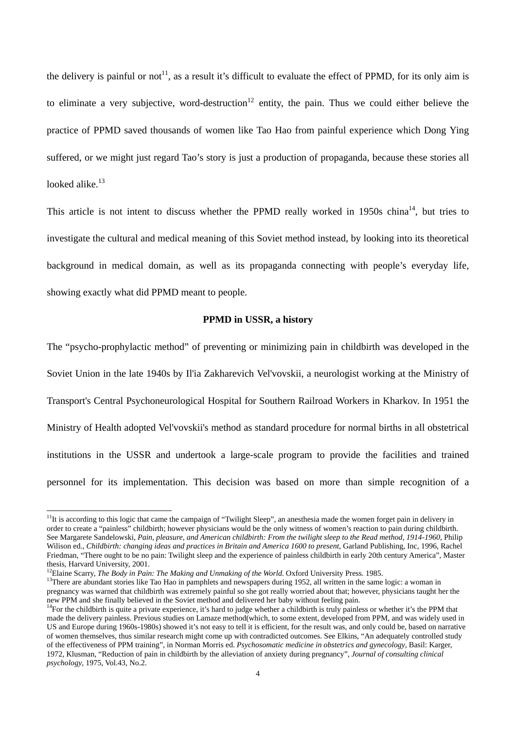the delivery is painful or not<sup>11</sup>, as a result it's difficult to evaluate the effect of PPMD, for its only aim is to eliminate a very subjective, word-destruction<sup>12</sup> entity, the pain. Thus we could either believe the practice of PPMD saved thousands of women like Tao Hao from painful experience which Dong Ying suffered, or we might just regard Tao's story is just a production of propaganda, because these stories all looked alike.<sup>13</sup>

This article is not intent to discuss whether the PPMD really worked in  $1950s$  china<sup>14</sup>, but tries to investigate the cultural and medical meaning of this Soviet method instead, by looking into its theoretical background in medical domain, as well as its propaganda connecting with people's everyday life, showing exactly what did PPMD meant to people.

#### **PPMD in USSR, a history**

The "psycho-prophylactic method" of preventing or minimizing pain in childbirth was developed in the Soviet Union in the late 1940s by Il'ia Zakharevich Vel'vovskii, a neurologist working at the Ministry of Transport's Central Psychoneurological Hospital for Southern Railroad Workers in Kharkov. In 1951 the Ministry of Health adopted Vel'vovskii's method as standard procedure for normal births in all obstetrical institutions in the USSR and undertook a large-scale program to provide the facilities and trained personnel for its implementation. This decision was based on more than simple recognition of a

 $11$ It is according to this logic that came the campaign of "Twilight Sleep", an anesthesia made the women forget pain in delivery in order to create a "painless" childbirth; however physicians would be the only witness of women's reaction to pain during childbirth. See Margarete Sandelowski, *Pain, pleasure, and American childbirth: From the twilight sleep to the Read method, 1914-1960*, Philip Wilison ed., *Childbirth: changing ideas and practices in Britain and America 1600 to present*, Garland Publishing, Inc, 1996, Rachel Friedman, "There ought to be no pain: Twilight sleep and the experience of painless childbirth in early 20th century America", Master thesis, Harvard University, 2001.<br><sup>12</sup>Elaine Scarry, *The Body in Pain: The Making and Unmaking of the World*. Oxford University Press. 1985.

<sup>&</sup>lt;sup>13</sup>There are abundant stories like Tao Hao in pamphlets and newspapers during 1952, all written in the same logic: a woman in pregnancy was warned that childbirth was extremely painful so she got really worried about that; however, physicians taught her the new PPM and she finally believed in the Soviet method and delivered her baby without feeling pain.<br><sup>14</sup>For the childbirth is quite a private experience, it's hard to judge whether a childbirth is truly painless or whether

made the delivery painless. Previous studies on Lamaze method(which, to some extent, developed from PPM, and was widely used in US and Europe during 1960s-1980s) showed it's not easy to tell it is efficient, for the result was, and only could be, based on narrative of women themselves, thus similar research might come up with contradicted outcomes. See Elkins, "An adequately controlled study of the effectiveness of PPM training", in Norman Morris ed. *Psychosomatic medicine in obstetrics and gynecology*, Basil: Karger, 1972, Klusman, "Reduction of pain in childbirth by the alleviation of anxiety during pregnancy", *Journal of consulting clinical psychology*, 1975, Vol.43, No.2.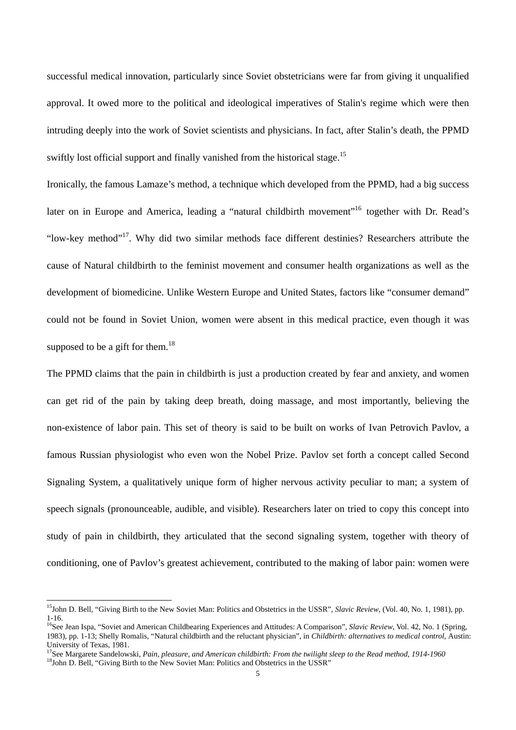successful medical innovation, particularly since Soviet obstetricians were far from giving it unqualified approval. It owed more to the political and ideological imperatives of Stalin's regime which were then intruding deeply into the work of Soviet scientists and physicians. In fact, after Stalin's death, the PPMD swiftly lost official support and finally vanished from the historical stage.<sup>15</sup>

Ironically, the famous Lamaze's method, a technique which developed from the PPMD, had a big success later on in Europe and America, leading a "natural childbirth movement"<sup>16</sup> together with Dr. Read's "low-key method"17. Why did two similar methods face different destinies? Researchers attribute the cause of Natural childbirth to the feminist movement and consumer health organizations as well as the development of biomedicine. Unlike Western Europe and United States, factors like "consumer demand" could not be found in Soviet Union, women were absent in this medical practice, even though it was supposed to be a gift for them.<sup>18</sup>

The PPMD claims that the pain in childbirth is just a production created by fear and anxiety, and women can get rid of the pain by taking deep breath, doing massage, and most importantly, believing the non-existence of labor pain. This set of theory is said to be built on works of Ivan Petrovich Pavlov, a famous Russian physiologist who even won the Nobel Prize. Pavlov set forth a concept called Second Signaling System, a qualitatively unique form of higher nervous activity peculiar to man; a system of speech signals (pronounceable, audible, and visible). Researchers later on tried to copy this concept into study of pain in childbirth, they articulated that the second signaling system, together with theory of conditioning, one of Pavlov's greatest achievement, contributed to the making of labor pain: women were

<sup>&</sup>lt;sup>15</sup>John D. Bell, "Giving Birth to the New Soviet Man: Politics and Obstetrics in the USSR", *Slavic Review*, (Vol. 40, No. 1, 1981), pp. 1-16.

<sup>&</sup>lt;sup>16</sup>See Jean Ispa, "Soviet and American Childbearing Experiences and Attitudes: A Comparison", *Slavic Review*, Vol. 42, No. 1 (Spring, 1983), pp. 1-13; Shelly Romalis, "Natural childbirth and the reluctant physician", in *Childbirth: alternatives to medical control*, Austin: University of Texas, 1981.

<sup>&</sup>lt;sup>17</sup>See Margarete Sandelowski, *Pain, pleasure, and American childbirth: From the twilight sleep to the Read method, 1914-1960* <sup>18</sup>John D. Bell, "Giving Birth to the New Soviet Man: Politics and Obstetrics in the USSR"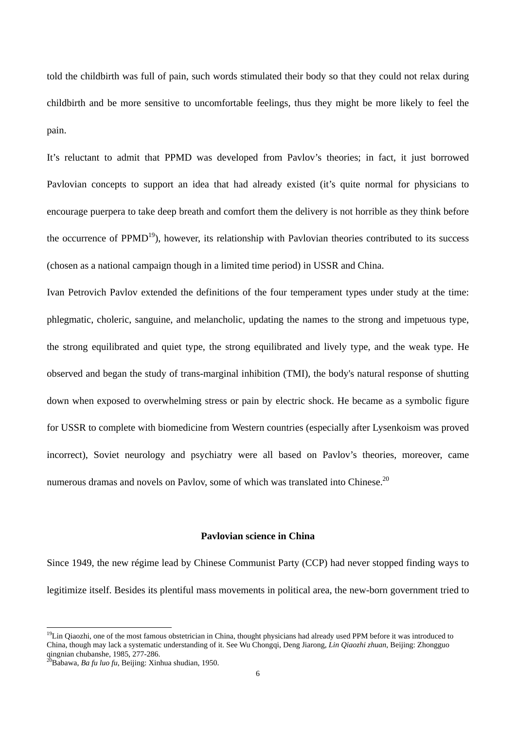told the childbirth was full of pain, such words stimulated their body so that they could not relax during childbirth and be more sensitive to uncomfortable feelings, thus they might be more likely to feel the pain.

It's reluctant to admit that PPMD was developed from Pavlov's theories; in fact, it just borrowed Pavlovian concepts to support an idea that had already existed (it's quite normal for physicians to encourage puerpera to take deep breath and comfort them the delivery is not horrible as they think before the occurrence of  $PPMD<sup>19</sup>$ , however, its relationship with Pavlovian theories contributed to its success (chosen as a national campaign though in a limited time period) in USSR and China.

Ivan Petrovich Pavlov extended the definitions of the four temperament types under study at the time: phlegmatic, choleric, sanguine, and melancholic, updating the names to the strong and impetuous type, the strong equilibrated and quiet type, the strong equilibrated and lively type, and the weak type. He observed and began the study of trans-marginal inhibition (TMI), the body's natural response of shutting down when exposed to overwhelming stress or pain by electric shock. He became as a symbolic figure for USSR to complete with biomedicine from Western countries (especially after Lysenkoism was proved incorrect), Soviet neurology and psychiatry were all based on Pavlov's theories, moreover, came numerous dramas and novels on Pavlov, some of which was translated into Chinese.<sup>20</sup>

# **Pavlovian science in China**

Since 1949, the new régime lead by Chinese Communist Party (CCP) had never stopped finding ways to legitimize itself. Besides its plentiful mass movements in political area, the new-born government tried to

 $19$ Lin Qiaozhi, one of the most famous obstetrician in China, thought physicians had already used PPM before it was introduced to China, though may lack a systematic understanding of it. See Wu Chongqi, Deng Jiarong, *Lin Qiaozhi zhuan*, Beijing: Zhongguo qingnian chubanshe, 1985, 277-286.

<sup>20</sup>Babawa, *Ba fu luo fu*, Beijing: Xinhua shudian, 1950.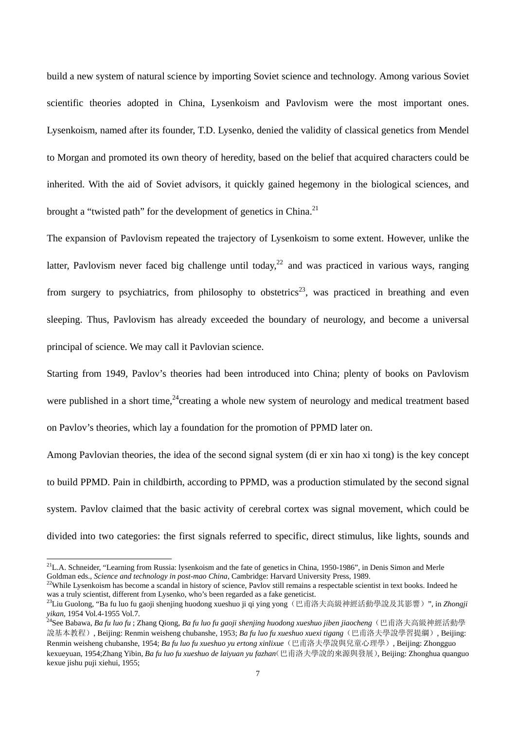build a new system of natural science by importing Soviet science and technology. Among various Soviet scientific theories adopted in China, Lysenkoism and Pavlovism were the most important ones. Lysenkoism, named after its founder, T.D. Lysenko, denied the validity of classical genetics from Mendel to Morgan and promoted its own theory of heredity, based on the belief that acquired characters could be inherited. With the aid of Soviet advisors, it quickly gained hegemony in the biological sciences, and brought a "twisted path" for the development of genetics in China.<sup>21</sup>

The expansion of Pavlovism repeated the trajectory of Lysenkoism to some extent. However, unlike the latter, Pavlovism never faced big challenge until today,<sup>22</sup> and was practiced in various ways, ranging from surgery to psychiatrics, from philosophy to obstetrics<sup>23</sup>, was practiced in breathing and even sleeping. Thus, Pavlovism has already exceeded the boundary of neurology, and become a universal principal of science. We may call it Pavlovian science.

Starting from 1949, Pavlov's theories had been introduced into China; plenty of books on Pavlovism were published in a short time,  $24$ creating a whole new system of neurology and medical treatment based on Pavlov's theories, which lay a foundation for the promotion of PPMD later on.

Among Pavlovian theories, the idea of the second signal system (di er xin hao xi tong) is the key concept to build PPMD. Pain in childbirth, according to PPMD, was a production stimulated by the second signal system. Pavlov claimed that the basic activity of cerebral cortex was signal movement, which could be divided into two categories: the first signals referred to specific, direct stimulus, like lights, sounds and

 $^{21}$ L.A. Schneider, "Learning from Russia: lysenkoism and the fate of genetics in China, 1950-1986", in Denis Simon and Merle

Goldman eds., *Science and technology in post-mao China*, Cambridge: Harvard University Press, 1989.<br><sup>22</sup>While Lysenkoism has become a scandal in history of science, Pavlov still remains a respectable scientist in text boo

<sup>&</sup>lt;sup>23</sup>Liu Guolong, "Ba fu luo fu gaoji shenjing huodong xueshuo ji qi ying yong(巴甫洛夫高級神經活動學說及其影響)", in *Zhongji yikan*, 1954 Vol.4-1955 Vol.7. 24See Babawa, *Ba fu luo fu* ; Zhang Qiong, *Ba fu luo fu gaoji shenjing huodong xueshuo jiben jiaocheng*(巴甫洛夫高級神經活動學

說基本教程), Beijing: Renmin weisheng chubanshe, 1953; *Ba fu luo fu xueshuo xuexi tigang*(巴甫洛夫學說學習提綱), Beijing: Renmin weisheng chubanshe, 1954; *Ba fu luo fu xueshuo yu ertong xinlixue*(巴甫洛夫學說與兒童心理學), Beijing: Zhongguo kexueyuan, 1954;Zhang Yibin, *Ba fu luo fu xueshuo de laiyuan yu fazhan*(巴甫洛夫學說的來源與發展), Beijing: Zhonghua quanguo kexue jishu puji xiehui, 1955;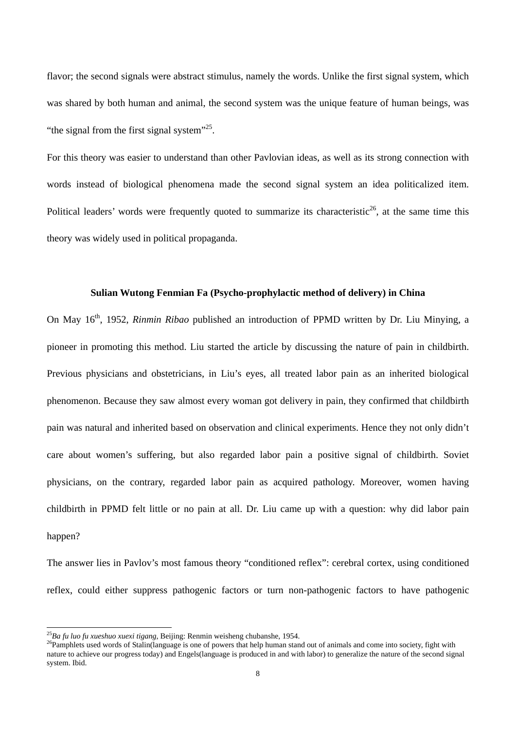flavor; the second signals were abstract stimulus, namely the words. Unlike the first signal system, which was shared by both human and animal, the second system was the unique feature of human beings, was "the signal from the first signal system"<sup>25</sup>.

For this theory was easier to understand than other Pavlovian ideas, as well as its strong connection with words instead of biological phenomena made the second signal system an idea politicalized item. Political leaders' words were frequently quoted to summarize its characteristic<sup>26</sup>, at the same time this theory was widely used in political propaganda.

#### **Sulian Wutong Fenmian Fa (Psycho-prophylactic method of delivery) in China**

On May 16th, 1952, *Rinmin Ribao* published an introduction of PPMD written by Dr. Liu Minying, a pioneer in promoting this method. Liu started the article by discussing the nature of pain in childbirth. Previous physicians and obstetricians, in Liu's eyes, all treated labor pain as an inherited biological phenomenon. Because they saw almost every woman got delivery in pain, they confirmed that childbirth pain was natural and inherited based on observation and clinical experiments. Hence they not only didn't care about women's suffering, but also regarded labor pain a positive signal of childbirth. Soviet physicians, on the contrary, regarded labor pain as acquired pathology. Moreover, women having childbirth in PPMD felt little or no pain at all. Dr. Liu came up with a question: why did labor pain happen?

The answer lies in Pavlov's most famous theory "conditioned reflex": cerebral cortex, using conditioned reflex, could either suppress pathogenic factors or turn non-pathogenic factors to have pathogenic

 $^{25}Ba$  fu luo fu xueshuo xuexi tigang, Beijing: Renmin weisheng chubanshe, 1954.

<sup>&</sup>lt;sup>26</sup>Pamphlets used words of Stalin(language is one of powers that help human stand out of animals and come into society, fight with nature to achieve our progress today) and Engels(language is produced in and with labor) to generalize the nature of the second signal system. Ibid.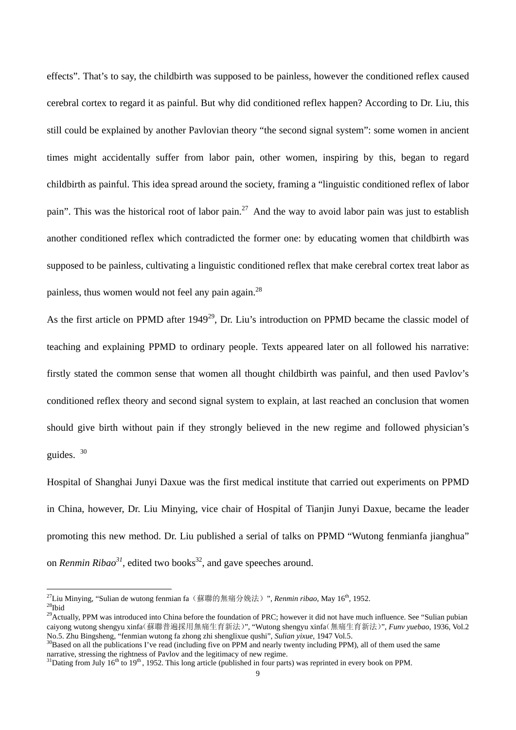effects". That's to say, the childbirth was supposed to be painless, however the conditioned reflex caused cerebral cortex to regard it as painful. But why did conditioned reflex happen? According to Dr. Liu, this still could be explained by another Pavlovian theory "the second signal system": some women in ancient times might accidentally suffer from labor pain, other women, inspiring by this, began to regard childbirth as painful. This idea spread around the society, framing a "linguistic conditioned reflex of labor pain". This was the historical root of labor pain.<sup>27</sup> And the way to avoid labor pain was just to establish another conditioned reflex which contradicted the former one: by educating women that childbirth was supposed to be painless, cultivating a linguistic conditioned reflex that make cerebral cortex treat labor as painless, thus women would not feel any pain again.28

As the first article on PPMD after  $1949^{29}$ . Dr. Liu's introduction on PPMD became the classic model of teaching and explaining PPMD to ordinary people. Texts appeared later on all followed his narrative: firstly stated the common sense that women all thought childbirth was painful, and then used Pavlov's conditioned reflex theory and second signal system to explain, at last reached an conclusion that women should give birth without pain if they strongly believed in the new regime and followed physician's guides. 30

Hospital of Shanghai Junyi Daxue was the first medical institute that carried out experiments on PPMD in China, however, Dr. Liu Minying, vice chair of Hospital of Tianjin Junyi Daxue, became the leader promoting this new method. Dr. Liu published a serial of talks on PPMD "Wutong fenmianfa jianghua" on *Renmin Ribao*<sup>31</sup>, edited two books<sup>32</sup>, and gave speeches around.

<sup>&</sup>lt;sup>27</sup>Liu Minying, "Sulian de wutong fenmian fa (蘇聯的無痛分娩法)", *Renmin ribao*, May 16<sup>th</sup>, 1952.<br><sup>28</sup>Ibid

<sup>&</sup>lt;sup>29</sup>Actually, PPM was introduced into China before the foundation of PRC; however it did not have much influence. See "Sulian pubian caiyong wutong shengyu xinfa(蘇聯普遍採用無痛生育新法)", "Wutong shengyu xinfa(無痛生育新法)", *Funv yuebao*, 1936, Vol.2 No.5. Zhu Bingsheng, "fenmian wutong fa zhong zhi shenglixue qushi", Sulian yixue, 1947 Vol.5.<br><sup>30</sup>Based on all the publications I've read (including five on PPM and nearly twenty including PPM), all of them used the same

narrative, stressing the rightness of Pavlov and the legitimacy of new regime.<br><sup>31</sup>Dating from July 16<sup>th</sup> to 19<sup>th</sup>, 1952. This long article (published in four parts) was reprinted in every book on PPM.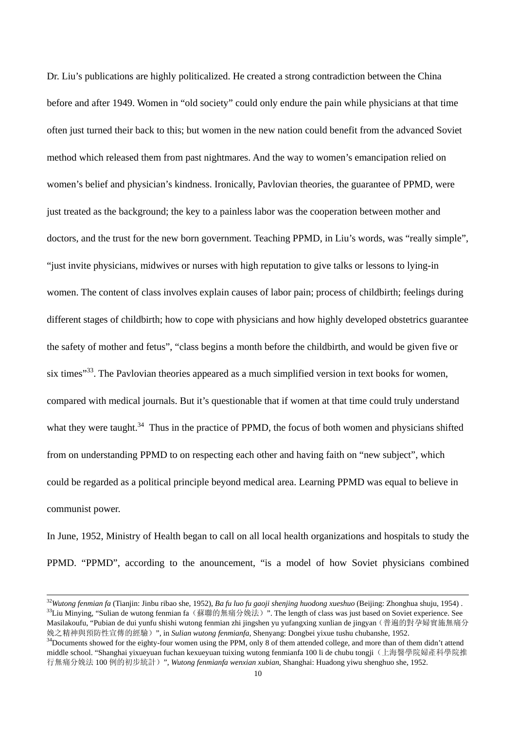Dr. Liu's publications are highly politicalized. He created a strong contradiction between the China before and after 1949. Women in "old society" could only endure the pain while physicians at that time often just turned their back to this; but women in the new nation could benefit from the advanced Soviet method which released them from past nightmares. And the way to women's emancipation relied on women's belief and physician's kindness. Ironically, Pavlovian theories, the guarantee of PPMD, were just treated as the background; the key to a painless labor was the cooperation between mother and doctors, and the trust for the new born government. Teaching PPMD, in Liu's words, was "really simple", "just invite physicians, midwives or nurses with high reputation to give talks or lessons to lying-in women. The content of class involves explain causes of labor pain; process of childbirth; feelings during different stages of childbirth; how to cope with physicians and how highly developed obstetrics guarantee the safety of mother and fetus", "class begins a month before the childbirth, and would be given five or six times<sup>333</sup>. The Pavlovian theories appeared as a much simplified version in text books for women, compared with medical journals. But it's questionable that if women at that time could truly understand what they were taught.<sup>34</sup> Thus in the practice of PPMD, the focus of both women and physicians shifted from on understanding PPMD to on respecting each other and having faith on "new subject", which could be regarded as a political principle beyond medical area. Learning PPMD was equal to believe in communist power.

In June, 1952, Ministry of Health began to call on all local health organizations and hospitals to study the PPMD. "PPMD", according to the anouncement, "is a model of how Soviet physicians combined

<sup>&</sup>lt;sup>32</sup>Wutong fenmian fa (Tianjin: Jinbu ribao she, 1952), Ba fu luo fu gaoji shenjing huodong xueshuo (Beijing: Zhonghua shuju, 1954).<br><sup>33</sup>Liu Minying, "Sulian de wutong fenmian fa (蘇聯的無痛分娩法) ". The length of class was jus Masilakoufu, "Pubian de dui yunfu shishi wutong fenmian zhi jingshen yu yufangxing xunlian de jingyan(普遍的對孕婦實施無痛分 娩之精神與預防性宣傳的經驗)", in Sulian wutong fenmianfa, Shenyang: Dongbei yixue tushu chubanshe, 1952.<br><sup>34</sup>Documents showed for the eighty-four women using the PPM, only 8 of them attended college, and more than of them didn't atten

middle school. "Shanghai yixueyuan fuchan kexueyuan tuixing wutong fenmianfa 100 li de chubu tongji(上海醫學院婦產科學院推 行無痛分娩法 100 例的初步統計)", *Wutong fenmianfa wenxian xubian*, Shanghai: Huadong yiwu shenghuo she, 1952.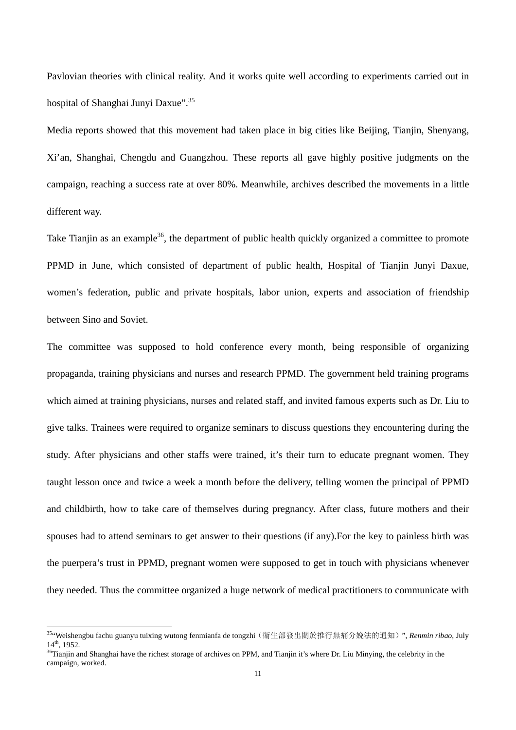Pavlovian theories with clinical reality. And it works quite well according to experiments carried out in hospital of Shanghai Junyi Daxue".<sup>35</sup>

Media reports showed that this movement had taken place in big cities like Beijing, Tianjin, Shenyang, Xi'an, Shanghai, Chengdu and Guangzhou. These reports all gave highly positive judgments on the campaign, reaching a success rate at over 80%. Meanwhile, archives described the movements in a little different way.

Take Tianjin as an example<sup>36</sup>, the department of public health quickly organized a committee to promote PPMD in June, which consisted of department of public health, Hospital of Tianjin Junyi Daxue, women's federation, public and private hospitals, labor union, experts and association of friendship between Sino and Soviet.

The committee was supposed to hold conference every month, being responsible of organizing propaganda, training physicians and nurses and research PPMD. The government held training programs which aimed at training physicians, nurses and related staff, and invited famous experts such as Dr. Liu to give talks. Trainees were required to organize seminars to discuss questions they encountering during the study. After physicians and other staffs were trained, it's their turn to educate pregnant women. They taught lesson once and twice a week a month before the delivery, telling women the principal of PPMD and childbirth, how to take care of themselves during pregnancy. After class, future mothers and their spouses had to attend seminars to get answer to their questions (if any).For the key to painless birth was the puerpera's trust in PPMD, pregnant women were supposed to get in touch with physicians whenever they needed. Thus the committee organized a huge network of medical practitioners to communicate with

<sup>35&</sup>quot;Weishengbu fachu guanyu tuixing wutong fenmianfa de tongzhi(衛生部發出關於推行無痛分娩法的通知)", *Renmin ribao*, July  $14<sup>th</sup>$ , 1952.<br><sup>36</sup>Tianjin and Shanghai have the richest storage of archives on PPM, and Tianjin it's where Dr. Liu Minying, the celebrity in the

campaign, worked.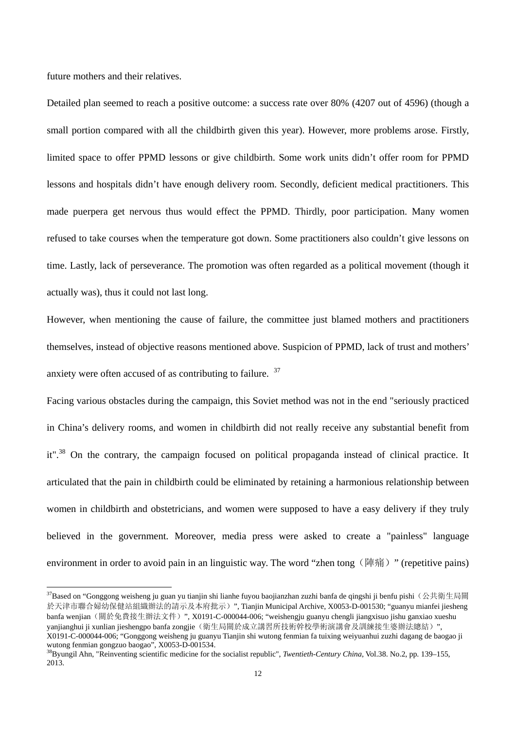future mothers and their relatives.

<u>.</u>

Detailed plan seemed to reach a positive outcome: a success rate over 80% (4207 out of 4596) (though a small portion compared with all the childbirth given this year). However, more problems arose. Firstly, limited space to offer PPMD lessons or give childbirth. Some work units didn't offer room for PPMD lessons and hospitals didn't have enough delivery room. Secondly, deficient medical practitioners. This made puerpera get nervous thus would effect the PPMD. Thirdly, poor participation. Many women refused to take courses when the temperature got down. Some practitioners also couldn't give lessons on time. Lastly, lack of perseverance. The promotion was often regarded as a political movement (though it actually was), thus it could not last long.

However, when mentioning the cause of failure, the committee just blamed mothers and practitioners themselves, instead of objective reasons mentioned above. Suspicion of PPMD, lack of trust and mothers' anxiety were often accused of as contributing to failure. <sup>37</sup>

Facing various obstacles during the campaign, this Soviet method was not in the end "seriously practiced in China's delivery rooms, and women in childbirth did not really receive any substantial benefit from it".38 On the contrary, the campaign focused on political propaganda instead of clinical practice. It articulated that the pain in childbirth could be eliminated by retaining a harmonious relationship between women in childbirth and obstetricians, and women were supposed to have a easy delivery if they truly believed in the government. Moreover, media press were asked to create a "painless" language environment in order to avoid pain in an linguistic way. The word "zhen tong (陣痛)" (repetitive pains)

 $37$ Based on "Gonggong weisheng ju guan yu tianjin shi lianhe fuyou baojianzhan zuzhi banfa de qingshi ji benfu pishi (公共衛生局關 於天津市聯合婦幼保健站組織辦法的請示及本府批示)", Tianjin Municipal Archive, X0053-D-001530; "guanyu mianfei jiesheng banfa wenjian (關於免費接生辦法文件)", X0191-C-000044-006; "weishengju guanyu chengli jiangxisuo jishu ganxiao xueshu yanjianghui ji xunlian jieshengpo banfa zongjie(衛生局關於成立講習所技術幹校學術演講會及訓練接生婆辦法總結)", X0191-C-000044-006; "Gonggong weisheng ju guanyu Tianjin shi wutong fenmian fa tuixing weiyuanhui zuzhi dagang de baogao ji wutong fenmian gongzuo baogao", X0053-D-001534.

<sup>38</sup>Byungil Ahn, "Reinventing scientific medicine for the socialist republic", *Twentieth-Century China*, Vol.38. No.2, pp. 139–155, 2013.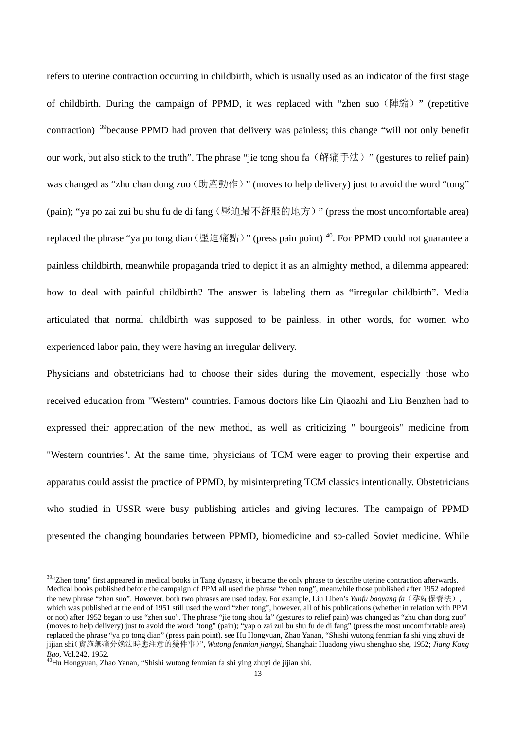refers to uterine contraction occurring in childbirth, which is usually used as an indicator of the first stage of childbirth. During the campaign of PPMD, it was replaced with "zhen suo (陣縮)" (repetitive contraction)<sup>39</sup>because PPMD had proven that delivery was painless; this change "will not only benefit our work, but also stick to the truth". The phrase "jie tong shou fa (解痛手法) " (gestures to relief pain) was changed as "zhu chan dong zuo (助產動作)" (moves to help delivery) just to avoid the word "tong" (pain); "ya po zai zui bu shu fu de di fang (壓迫最不舒服的地方)" (press the most uncomfortable area) replaced the phrase "ya po tong dian (壓迫痛點)" (press pain point)  $^{40}$ . For PPMD could not guarantee a painless childbirth, meanwhile propaganda tried to depict it as an almighty method, a dilemma appeared: how to deal with painful childbirth? The answer is labeling them as "irregular childbirth". Media articulated that normal childbirth was supposed to be painless, in other words, for women who experienced labor pain, they were having an irregular delivery.

Physicians and obstetricians had to choose their sides during the movement, especially those who received education from "Western" countries. Famous doctors like Lin Qiaozhi and Liu Benzhen had to expressed their appreciation of the new method, as well as criticizing " bourgeois" medicine from "Western countries". At the same time, physicians of TCM were eager to proving their expertise and apparatus could assist the practice of PPMD, by misinterpreting TCM classics intentionally. Obstetricians who studied in USSR were busy publishing articles and giving lectures. The campaign of PPMD presented the changing boundaries between PPMD, biomedicine and so-called Soviet medicine. While

<sup>&</sup>lt;sup>39</sup>"Zhen tong" first appeared in medical books in Tang dynasty, it became the only phrase to describe uterine contraction afterwards. Medical books published before the campaign of PPM all used the phrase "zhen tong", meanwhile those published after 1952 adopted the new phrase "zhen suo". However, both two phrases are used today. For example, Liu Liben's *Yunfu baoyang fa* (孕婦保養法), which was published at the end of 1951 still used the word "zhen tong", however, all of his publications (whether in relation with PPM or not) after 1952 began to use "zhen suo". The phrase "jie tong shou fa" (gestures to relief pain) was changed as "zhu chan dong zuo" (moves to help delivery) just to avoid the word "tong" (pain); "yap o zai zui bu shu fu de di fang" (press the most uncomfortable area) replaced the phrase "ya po tong dian" (press pain point). see Hu Hongyuan, Zhao Yanan, "Shishi wutong fenmian fa shi ying zhuyi de jijian shi(實施無痛分娩法時應注意的幾件事)", *Wutong fenmian jiangyi*, Shanghai: Huadong yiwu shenghuo she, 1952; *Jiang Kang Bao*, Vol.242, 1952.<br><sup>40</sup>Hu Hongyuan, Zhao Yanan, "Shishi wutong fenmian fa shi ying zhuyi de jijian shi.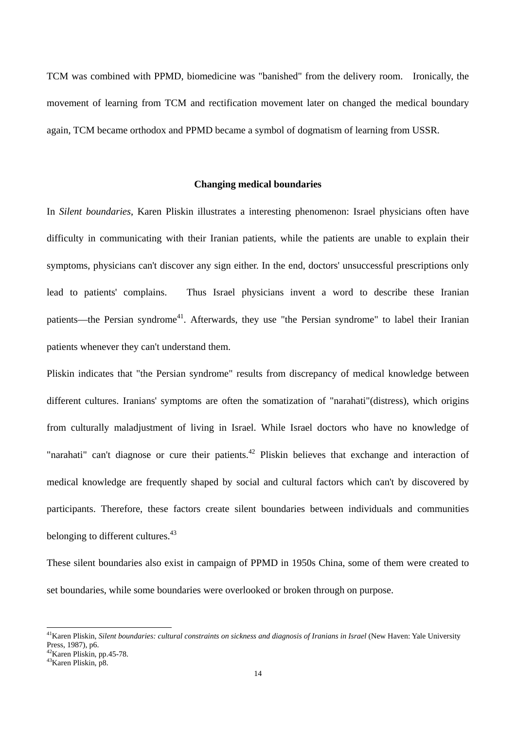TCM was combined with PPMD, biomedicine was "banished" from the delivery room. Ironically, the movement of learning from TCM and rectification movement later on changed the medical boundary again, TCM became orthodox and PPMD became a symbol of dogmatism of learning from USSR.

## **Changing medical boundaries**

In *Silent boundaries*, Karen Pliskin illustrates a interesting phenomenon: Israel physicians often have difficulty in communicating with their Iranian patients, while the patients are unable to explain their symptoms, physicians can't discover any sign either. In the end, doctors' unsuccessful prescriptions only lead to patients' complains. Thus Israel physicians invent a word to describe these Iranian patients—the Persian syndrome<sup>41</sup>. Afterwards, they use "the Persian syndrome" to label their Iranian patients whenever they can't understand them.

Pliskin indicates that "the Persian syndrome" results from discrepancy of medical knowledge between different cultures. Iranians' symptoms are often the somatization of "narahati"(distress), which origins from culturally maladjustment of living in Israel. While Israel doctors who have no knowledge of "narahati" can't diagnose or cure their patients.<sup>42</sup> Pliskin believes that exchange and interaction of medical knowledge are frequently shaped by social and cultural factors which can't by discovered by participants. Therefore, these factors create silent boundaries between individuals and communities belonging to different cultures.<sup>43</sup>

These silent boundaries also exist in campaign of PPMD in 1950s China, some of them were created to set boundaries, while some boundaries were overlooked or broken through on purpose.

<sup>&</sup>lt;sup>41</sup> Karen Pliskin, *Silent boundaries: cultural constraints on sickness and diagnosis of Iranians in Israel (New Haven: Yale University* Press, 1987), p6.

<sup>42</sup>Karen Pliskin, pp.45-78.

<sup>43</sup>Karen Pliskin, p8.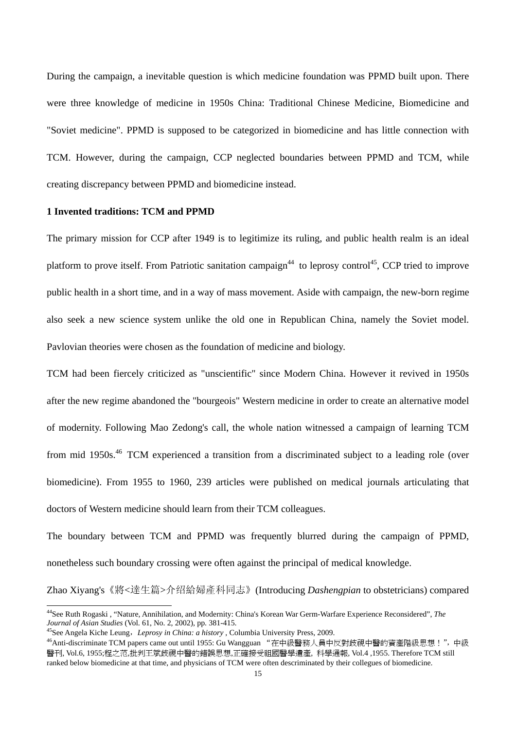During the campaign, a inevitable question is which medicine foundation was PPMD built upon. There were three knowledge of medicine in 1950s China: Traditional Chinese Medicine, Biomedicine and "Soviet medicine". PPMD is supposed to be categorized in biomedicine and has little connection with TCM. However, during the campaign, CCP neglected boundaries between PPMD and TCM, while creating discrepancy between PPMD and biomedicine instead.

#### **1 Invented traditions: TCM and PPMD**

The primary mission for CCP after 1949 is to legitimize its ruling, and public health realm is an ideal platform to prove itself. From Patriotic sanitation campaign<sup>44</sup> to leprosy control<sup>45</sup>, CCP tried to improve public health in a short time, and in a way of mass movement. Aside with campaign, the new-born regime also seek a new science system unlike the old one in Republican China, namely the Soviet model. Pavlovian theories were chosen as the foundation of medicine and biology.

TCM had been fiercely criticized as "unscientific" since Modern China. However it revived in 1950s after the new regime abandoned the "bourgeois" Western medicine in order to create an alternative model of modernity. Following Mao Zedong's call, the whole nation witnessed a campaign of learning TCM from mid 1950s.<sup>46</sup> TCM experienced a transition from a discriminated subject to a leading role (over biomedicine). From 1955 to 1960, 239 articles were published on medical journals articulating that doctors of Western medicine should learn from their TCM colleagues.

The boundary between TCM and PPMD was frequently blurred during the campaign of PPMD, nonetheless such boundary crossing were often against the principal of medical knowledge.

Zhao Xiyang's《將<達生篇>介绍給婦產科同志》(Introducing *Dashengpian* to obstetricians) compared

<sup>44</sup>See Ruth Rogaski , "Nature, Annihilation, and Modernity: China's Korean War Germ-Warfare Experience Reconsidered", *The*  Journal of Asian Studies (Vol. 61, No. 2, 2002), pp. 381-415.<br><sup>45</sup>See Angela Kiche Leung, *Leprosy in China: a history*, Columbia University Press, 2009.<br><sup>46</sup>Anti-discriminate TCM papers came out until 1955: Gu Wangguan "

醫刊, Vol.6, 1955;程之范,批判王斌歧視中醫的錯誤思想,正確接受祖國醫學遺產, 科學通報, Vol.4 ,1955. Therefore TCM still ranked below biomedicine at that time, and physicians of TCM were often descriminated by their collegues of biomedicine.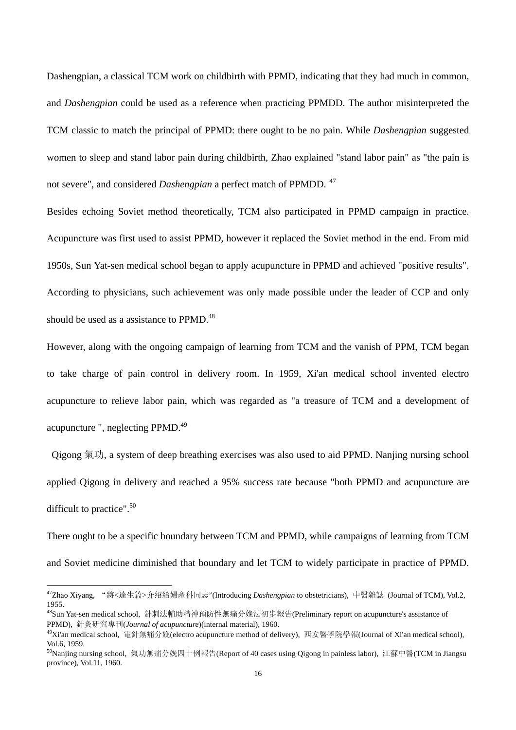Dashengpian, a classical TCM work on childbirth with PPMD, indicating that they had much in common, and *Dashengpian* could be used as a reference when practicing PPMDD. The author misinterpreted the TCM classic to match the principal of PPMD: there ought to be no pain. While *Dashengpian* suggested women to sleep and stand labor pain during childbirth, Zhao explained "stand labor pain" as "the pain is not severe", and considered *Dashengpian* a perfect match of PPMDD.<sup>47</sup>

Besides echoing Soviet method theoretically, TCM also participated in PPMD campaign in practice. Acupuncture was first used to assist PPMD, however it replaced the Soviet method in the end. From mid 1950s, Sun Yat-sen medical school began to apply acupuncture in PPMD and achieved "positive results". According to physicians, such achievement was only made possible under the leader of CCP and only should be used as a assistance to PPMD.<sup>48</sup>

However, along with the ongoing campaign of learning from TCM and the vanish of PPM, TCM began to take charge of pain control in delivery room. In 1959, Xi'an medical school invented electro acupuncture to relieve labor pain, which was regarded as "a treasure of TCM and a development of acupuncture ", neglecting PPMD.<sup>49</sup>

 Qigong 氣功, a system of deep breathing exercises was also used to aid PPMD. Nanjing nursing school applied Qigong in delivery and reached a 95% success rate because "both PPMD and acupuncture are difficult to practice".<sup>50</sup>

There ought to be a specific boundary between TCM and PPMD, while campaigns of learning from TCM and Soviet medicine diminished that boundary and let TCM to widely participate in practice of PPMD.

<sup>47</sup>Zhao Xiyang, "將<達生篇>介绍給婦產科同志"(Introducing *Dashengpian* to obstetricians), 中醫雜誌 (Journal of TCM), Vol.2, 1955.

<sup>&</sup>lt;sup>48</sup>Sun Yat-sen medical school, 針刺法輔助精神預防性無痛分娩法初步報告(Preliminary report on acupuncture's assistance of PPMD), 針灸研究專刊(*Journal of acupuncture*)(internal material), 1960.<br><sup>49</sup>Xi'an medical school, 電針無痛分娩(electro acupuncture method of delivery), 西安醫學院學報(Journal of Xi'an medical school),

Vol.6, 1959.

<sup>&</sup>lt;sup>50</sup>Nanjing nursing school, 氣功無痛分娩四十例報告(Report of 40 cases using Qigong in painless labor), 江蘇中醫(TCM in Jiangsu province), Vol.11, 1960.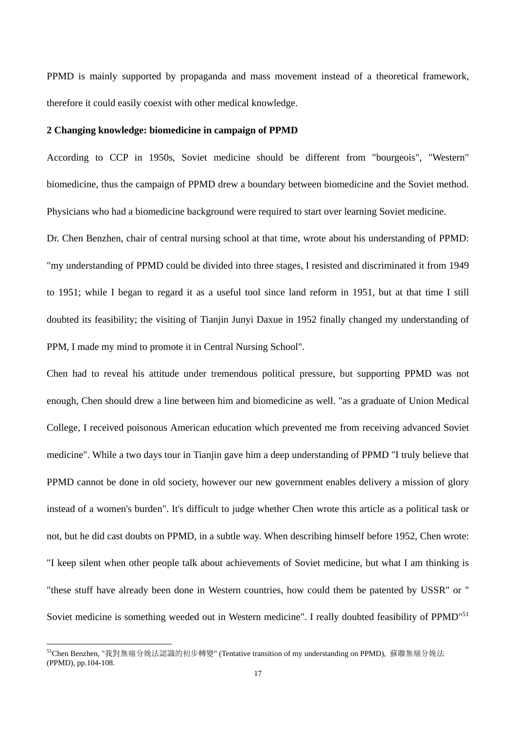PPMD is mainly supported by propaganda and mass movement instead of a theoretical framework, therefore it could easily coexist with other medical knowledge.

#### **2 Changing knowledge: biomedicine in campaign of PPMD**

According to CCP in 1950s, Soviet medicine should be different from "bourgeois", "Western" biomedicine, thus the campaign of PPMD drew a boundary between biomedicine and the Soviet method. Physicians who had a biomedicine background were required to start over learning Soviet medicine.

Dr. Chen Benzhen, chair of central nursing school at that time, wrote about his understanding of PPMD: "my understanding of PPMD could be divided into three stages, I resisted and discriminated it from 1949 to 1951; while I began to regard it as a useful tool since land reform in 1951, but at that time I still doubted its feasibility; the visiting of Tianjin Junyi Daxue in 1952 finally changed my understanding of PPM, I made my mind to promote it in Central Nursing School".

Chen had to reveal his attitude under tremendous political pressure, but supporting PPMD was not enough, Chen should drew a line between him and biomedicine as well. "as a graduate of Union Medical College, I received poisonous American education which prevented me from receiving advanced Soviet medicine". While a two days tour in Tianjin gave him a deep understanding of PPMD "I truly believe that PPMD cannot be done in old society, however our new government enables delivery a mission of glory instead of a women's burden". It's difficult to judge whether Chen wrote this article as a political task or not, but he did cast doubts on PPMD, in a subtle way. When describing himself before 1952, Chen wrote: "I keep silent when other people talk about achievements of Soviet medicine, but what I am thinking is "these stuff have already been done in Western countries, how could them be patented by USSR" or " Soviet medicine is something weeded out in Western medicine". I really doubted feasibility of PPMD<sup>"51</sup>

<sup>51</sup>Chen Benzhen, "我對無痛分娩法認識的初步轉變" (Tentative transition of my understanding on PPMD), 蘇聯無痛分娩法 (PPMD), pp.104-108.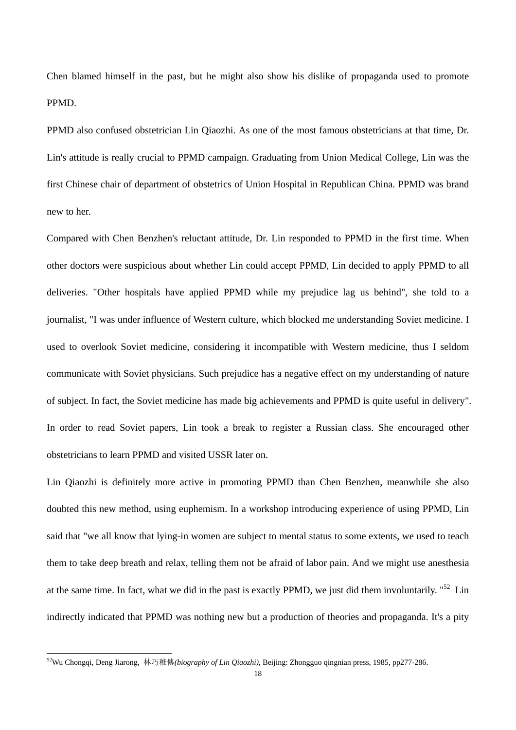Chen blamed himself in the past, but he might also show his dislike of propaganda used to promote PPMD.

PPMD also confused obstetrician Lin Qiaozhi. As one of the most famous obstetricians at that time, Dr. Lin's attitude is really crucial to PPMD campaign. Graduating from Union Medical College, Lin was the first Chinese chair of department of obstetrics of Union Hospital in Republican China. PPMD was brand new to her.

Compared with Chen Benzhen's reluctant attitude, Dr. Lin responded to PPMD in the first time. When other doctors were suspicious about whether Lin could accept PPMD, Lin decided to apply PPMD to all deliveries. "Other hospitals have applied PPMD while my prejudice lag us behind", she told to a journalist, "I was under influence of Western culture, which blocked me understanding Soviet medicine. I used to overlook Soviet medicine, considering it incompatible with Western medicine, thus I seldom communicate with Soviet physicians. Such prejudice has a negative effect on my understanding of nature of subject. In fact, the Soviet medicine has made big achievements and PPMD is quite useful in delivery". In order to read Soviet papers, Lin took a break to register a Russian class. She encouraged other obstetricians to learn PPMD and visited USSR later on.

Lin Qiaozhi is definitely more active in promoting PPMD than Chen Benzhen, meanwhile she also doubted this new method, using euphemism. In a workshop introducing experience of using PPMD, Lin said that "we all know that lying-in women are subject to mental status to some extents, we used to teach them to take deep breath and relax, telling them not be afraid of labor pain. And we might use anesthesia at the same time. In fact, what we did in the past is exactly PPMD, we just did them involuntarily. "52 Lin indirectly indicated that PPMD was nothing new but a production of theories and propaganda. It's a pity

<sup>52</sup>Wu Chongqi, Deng Jiarong, 林巧稚傳*(biography of Lin Qiaozhi)*, Beijing: Zhongguo qingnian press, 1985, pp277-286.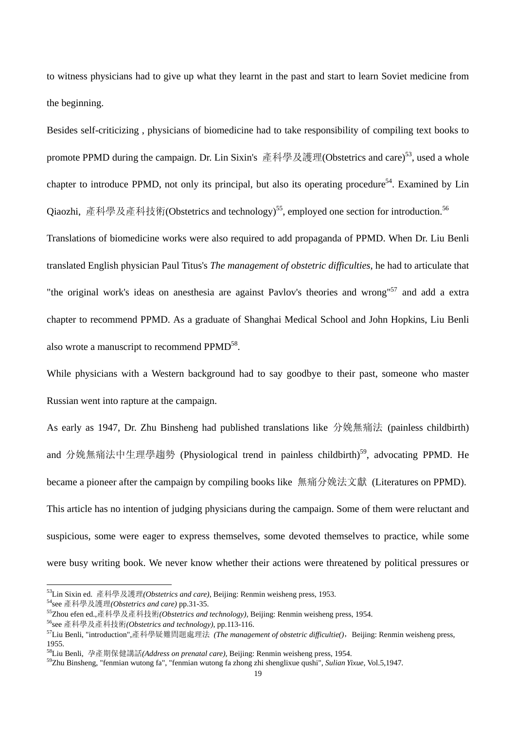to witness physicians had to give up what they learnt in the past and start to learn Soviet medicine from the beginning.

Besides self-criticizing , physicians of biomedicine had to take responsibility of compiling text books to promote PPMD during the campaign. Dr. Lin Sixin's  $\tilde{\hat{\pi}} \hat{\hat{\pi}} \hat{\hat{\hat{\pi}}} \hat{\hat{\hat{\pi}}} \hat{\hat{\hat{\pi}}}$  (Obstetrics and care)<sup>53</sup>, used a whole chapter to introduce PPMD, not only its principal, but also its operating procedure<sup>54</sup>. Examined by Lin Qiaozhi, 產科學及產科技術(Obstetrics and technology)<sup>55</sup>, employed one section for introduction.<sup>56</sup>

Translations of biomedicine works were also required to add propaganda of PPMD. When Dr. Liu Benli translated English physician Paul Titus's *The management of obstetric difficulties*, he had to articulate that "the original work's ideas on anesthesia are against Pavlov's theories and wrong"<sup>57</sup> and add a extra chapter to recommend PPMD. As a graduate of Shanghai Medical School and John Hopkins, Liu Benli also wrote a manuscript to recommend PPMD<sup>58</sup>.

While physicians with a Western background had to say goodbye to their past, someone who master Russian went into rapture at the campaign.

As early as 1947, Dr. Zhu Binsheng had published translations like 分娩無痛法 (painless childbirth) and 分娩無痛法中生理學趨勢 (Physiological trend in painless childbirth)<sup>59</sup>, advocating PPMD. He became a pioneer after the campaign by compiling books like 無痛分娩法文獻 (Literatures on PPMD). This article has no intention of judging physicians during the campaign. Some of them were reluctant and suspicious, some were eager to express themselves, some devoted themselves to practice, while some were busy writing book. We never know whether their actions were threatened by political pressures or

<sup>&</sup>lt;sup>53</sup>Lin Sixin ed. 產科學及護理(*Obstetrics and care*), Beijing: Renmin weisheng press, 1953.<br><sup>54</sup>see 產科學及護理(*Obstetrics and care*) pp.31-35.<br><sup>55</sup>Zhou efen ed.,產科學及產科技術(*Obstetrics and technology*), Beijing: Renmin weisheng pre 1955.

<sup>58</sup>Liu Benli, 孕產期保健講話*(Address on prenatal care)*, Beijing: Renmin weisheng press, 1954. 59Zhu Binsheng, "fenmian wutong fa", "fenmian wutong fa zhong zhi shenglixue qushi", *Sulian Yixue*, Vol.5,1947.